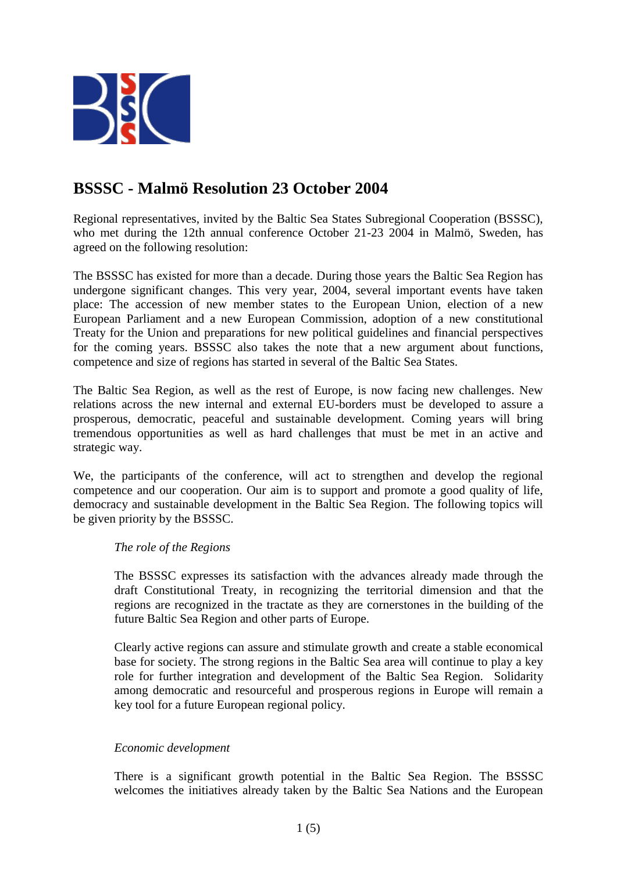

# **BSSSC - Malmö Resolution 23 October 2004**

Regional representatives, invited by the Baltic Sea States Subregional Cooperation (BSSSC), who met during the 12th annual conference October 21-23 2004 in Malmö, Sweden, has agreed on the following resolution:

The BSSSC has existed for more than a decade. During those years the Baltic Sea Region has undergone significant changes. This very year, 2004, several important events have taken place: The accession of new member states to the European Union, election of a new European Parliament and a new European Commission, adoption of a new constitutional Treaty for the Union and preparations for new political guidelines and financial perspectives for the coming years. BSSSC also takes the note that a new argument about functions, competence and size of regions has started in several of the Baltic Sea States.

The Baltic Sea Region, as well as the rest of Europe, is now facing new challenges. New relations across the new internal and external EU-borders must be developed to assure a prosperous, democratic, peaceful and sustainable development. Coming years will bring tremendous opportunities as well as hard challenges that must be met in an active and strategic way.

We, the participants of the conference, will act to strengthen and develop the regional competence and our cooperation. Our aim is to support and promote a good quality of life, democracy and sustainable development in the Baltic Sea Region. The following topics will be given priority by the BSSSC.

# *The role of the Regions*

The BSSSC expresses its satisfaction with the advances already made through the draft Constitutional Treaty, in recognizing the territorial dimension and that the regions are recognized in the tractate as they are cornerstones in the building of the future Baltic Sea Region and other parts of Europe.

Clearly active regions can assure and stimulate growth and create a stable economical base for society. The strong regions in the Baltic Sea area will continue to play a key role for further integration and development of the Baltic Sea Region. Solidarity among democratic and resourceful and prosperous regions in Europe will remain a key tool for a future European regional policy.

# *Economic development*

There is a significant growth potential in the Baltic Sea Region. The BSSSC welcomes the initiatives already taken by the Baltic Sea Nations and the European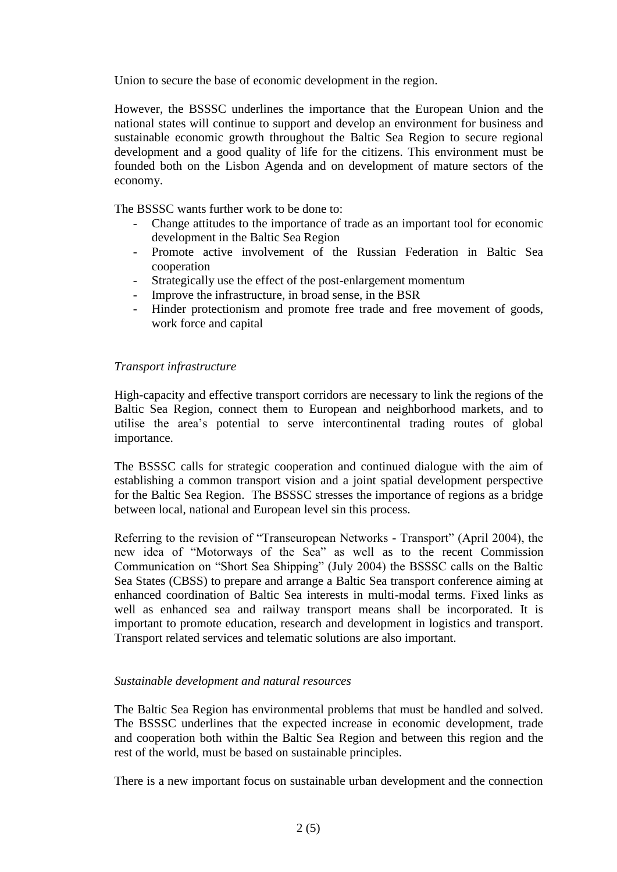Union to secure the base of economic development in the region.

However, the BSSSC underlines the importance that the European Union and the national states will continue to support and develop an environment for business and sustainable economic growth throughout the Baltic Sea Region to secure regional development and a good quality of life for the citizens. This environment must be founded both on the Lisbon Agenda and on development of mature sectors of the economy.

The BSSSC wants further work to be done to:

- Change attitudes to the importance of trade as an important tool for economic development in the Baltic Sea Region
- Promote active involvement of the Russian Federation in Baltic Sea cooperation
- Strategically use the effect of the post-enlargement momentum
- Improve the infrastructure, in broad sense, in the BSR
- Hinder protectionism and promote free trade and free movement of goods, work force and capital

## *Transport infrastructure*

High-capacity and effective transport corridors are necessary to link the regions of the Baltic Sea Region, connect them to European and neighborhood markets, and to utilise the area's potential to serve intercontinental trading routes of global importance.

The BSSSC calls for strategic cooperation and continued dialogue with the aim of establishing a common transport vision and a joint spatial development perspective for the Baltic Sea Region. The BSSSC stresses the importance of regions as a bridge between local, national and European level sin this process.

Referring to the revision of "Transeuropean Networks - Transport" (April 2004), the new idea of "Motorways of the Sea" as well as to the recent Commission Communication on "Short Sea Shipping" (July 2004) the BSSSC calls on the Baltic Sea States (CBSS) to prepare and arrange a Baltic Sea transport conference aiming at enhanced coordination of Baltic Sea interests in multi-modal terms. Fixed links as well as enhanced sea and railway transport means shall be incorporated. It is important to promote education, research and development in logistics and transport. Transport related services and telematic solutions are also important.

### *Sustainable development and natural resources*

The Baltic Sea Region has environmental problems that must be handled and solved. The BSSSC underlines that the expected increase in economic development, trade and cooperation both within the Baltic Sea Region and between this region and the rest of the world, must be based on sustainable principles.

There is a new important focus on sustainable urban development and the connection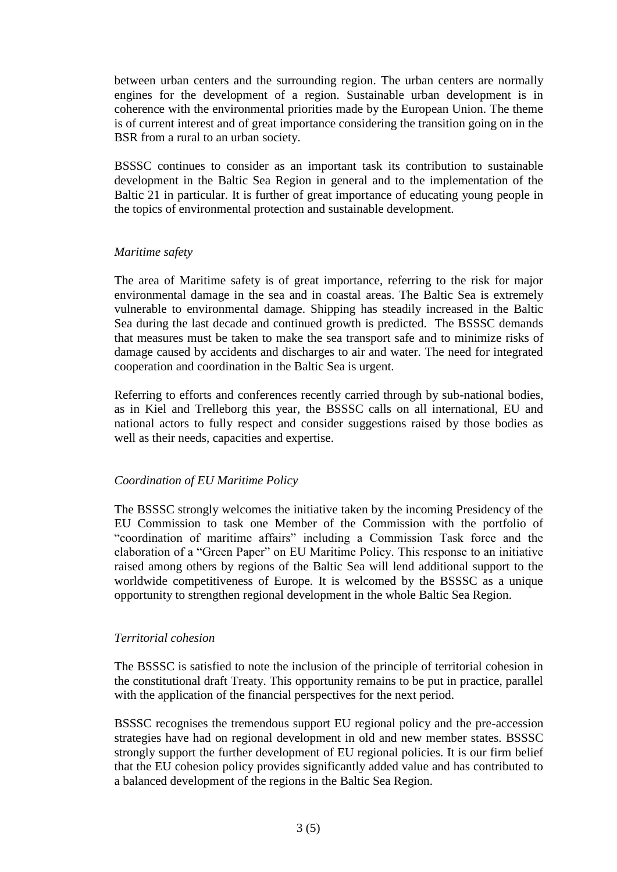between urban centers and the surrounding region. The urban centers are normally engines for the development of a region. Sustainable urban development is in coherence with the environmental priorities made by the European Union. The theme is of current interest and of great importance considering the transition going on in the BSR from a rural to an urban society.

BSSSC continues to consider as an important task its contribution to sustainable development in the Baltic Sea Region in general and to the implementation of the Baltic 21 in particular. It is further of great importance of educating young people in the topics of environmental protection and sustainable development.

#### *Maritime safety*

The area of Maritime safety is of great importance, referring to the risk for major environmental damage in the sea and in coastal areas. The Baltic Sea is extremely vulnerable to environmental damage. Shipping has steadily increased in the Baltic Sea during the last decade and continued growth is predicted. The BSSSC demands that measures must be taken to make the sea transport safe and to minimize risks of damage caused by accidents and discharges to air and water. The need for integrated cooperation and coordination in the Baltic Sea is urgent.

Referring to efforts and conferences recently carried through by sub-national bodies, as in Kiel and Trelleborg this year, the BSSSC calls on all international, EU and national actors to fully respect and consider suggestions raised by those bodies as well as their needs, capacities and expertise.

### *Coordination of EU Maritime Policy*

The BSSSC strongly welcomes the initiative taken by the incoming Presidency of the EU Commission to task one Member of the Commission with the portfolio of "coordination of maritime affairs" including a Commission Task force and the elaboration of a "Green Paper" on EU Maritime Policy. This response to an initiative raised among others by regions of the Baltic Sea will lend additional support to the worldwide competitiveness of Europe. It is welcomed by the BSSSC as a unique opportunity to strengthen regional development in the whole Baltic Sea Region.

### *Territorial cohesion*

The BSSSC is satisfied to note the inclusion of the principle of territorial cohesion in the constitutional draft Treaty. This opportunity remains to be put in practice, parallel with the application of the financial perspectives for the next period.

BSSSC recognises the tremendous support EU regional policy and the pre-accession strategies have had on regional development in old and new member states. BSSSC strongly support the further development of EU regional policies. It is our firm belief that the EU cohesion policy provides significantly added value and has contributed to a balanced development of the regions in the Baltic Sea Region.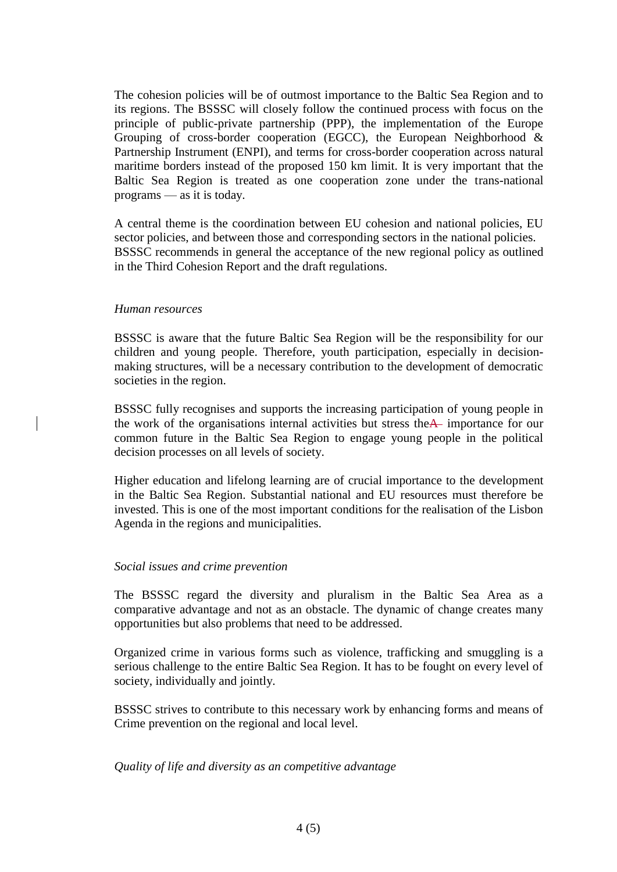The cohesion policies will be of outmost importance to the Baltic Sea Region and to its regions. The BSSSC will closely follow the continued process with focus on the principle of public-private partnership (PPP), the implementation of the Europe Grouping of cross-border cooperation (EGCC), the European Neighborhood & Partnership Instrument (ENPI), and terms for cross-border cooperation across natural maritime borders instead of the proposed 150 km limit. It is very important that the Baltic Sea Region is treated as one cooperation zone under the trans-national programs — as it is today.

A central theme is the coordination between EU cohesion and national policies, EU sector policies, and between those and corresponding sectors in the national policies. BSSSC recommends in general the acceptance of the new regional policy as outlined in the Third Cohesion Report and the draft regulations.

#### *Human resources*

BSSSC is aware that the future Baltic Sea Region will be the responsibility for our children and young people. Therefore, youth participation, especially in decisionmaking structures, will be a necessary contribution to the development of democratic societies in the region.

BSSSC fully recognises and supports the increasing participation of young people in the work of the organisations internal activities but stress theA importance for our common future in the Baltic Sea Region to engage young people in the political decision processes on all levels of society.

Higher education and lifelong learning are of crucial importance to the development in the Baltic Sea Region. Substantial national and EU resources must therefore be invested. This is one of the most important conditions for the realisation of the Lisbon Agenda in the regions and municipalities.

### *Social issues and crime prevention*

The BSSSC regard the diversity and pluralism in the Baltic Sea Area as a comparative advantage and not as an obstacle. The dynamic of change creates many opportunities but also problems that need to be addressed.

Organized crime in various forms such as violence, trafficking and smuggling is a serious challenge to the entire Baltic Sea Region. It has to be fought on every level of society, individually and jointly.

BSSSC strives to contribute to this necessary work by enhancing forms and means of Crime prevention on the regional and local level.

### *Quality of life and diversity as an competitive advantage*